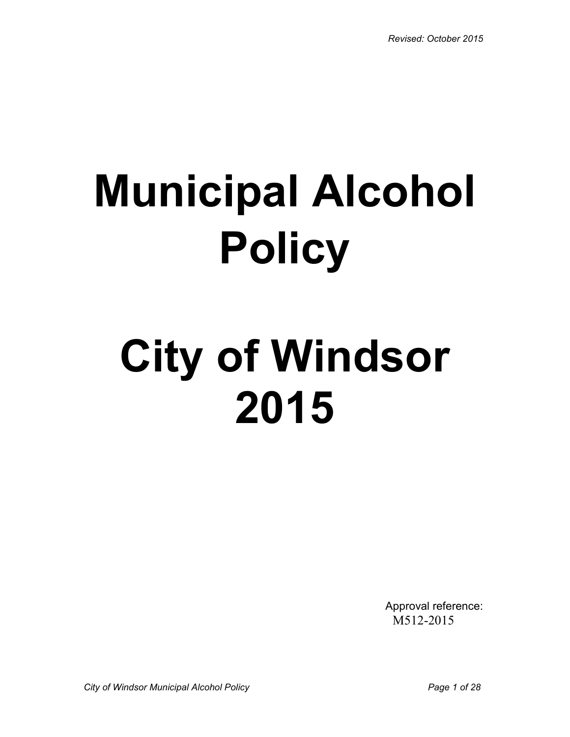# **Municipal Alcohol Policy**

# **City of Windsor 2015**

Approval reference: M512-2015

*City of Windsor Municipal Alcohol Policy Page 1 of 28*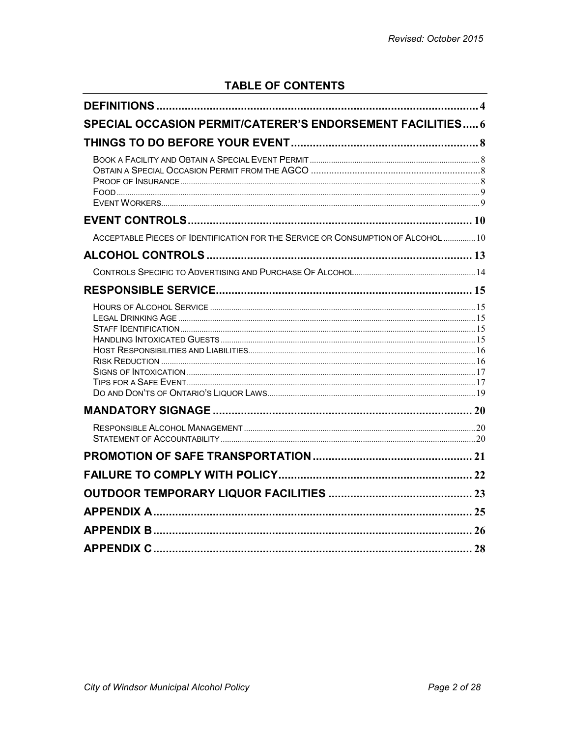# **TABLE OF CONTENTS**

| <b>SPECIAL OCCASION PERMIT/CATERER'S ENDORSEMENT FACILITIES 6</b>                 |  |
|-----------------------------------------------------------------------------------|--|
|                                                                                   |  |
|                                                                                   |  |
|                                                                                   |  |
|                                                                                   |  |
| ACCEPTABLE PIECES OF IDENTIFICATION FOR THE SERVICE OR CONSUMPTION OF ALCOHOL  10 |  |
|                                                                                   |  |
|                                                                                   |  |
|                                                                                   |  |
|                                                                                   |  |
|                                                                                   |  |
|                                                                                   |  |
|                                                                                   |  |
|                                                                                   |  |
|                                                                                   |  |
|                                                                                   |  |
|                                                                                   |  |
|                                                                                   |  |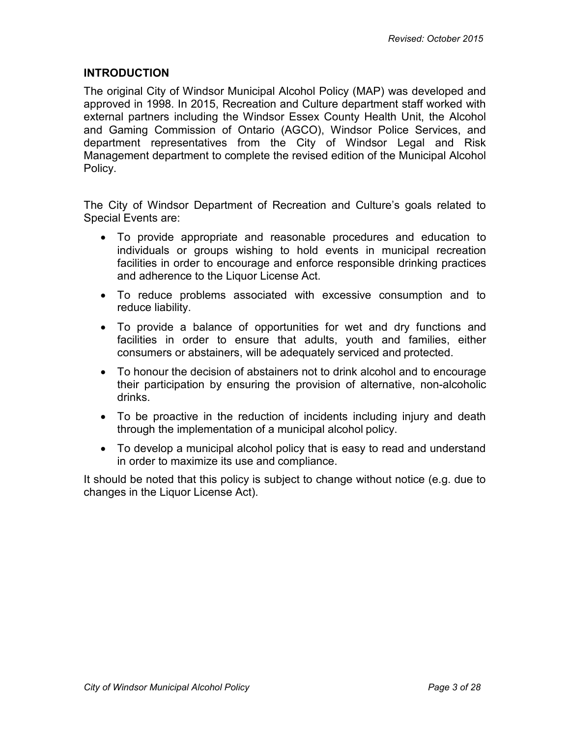## **INTRODUCTION**

The original City of Windsor Municipal Alcohol Policy (MAP) was developed and approved in 1998. In 2015, Recreation and Culture department staff worked with external partners including the Windsor Essex County Health Unit, the Alcohol and Gaming Commission of Ontario (AGCO), Windsor Police Services, and department representatives from the City of Windsor Legal and Risk Management department to complete the revised edition of the Municipal Alcohol Policy.

The City of Windsor Department of Recreation and Culture's goals related to Special Events are:

- To provide appropriate and reasonable procedures and education to individuals or groups wishing to hold events in municipal recreation facilities in order to encourage and enforce responsible drinking practices and adherence to the Liquor License Act.
- To reduce problems associated with excessive consumption and to reduce liability.
- To provide a balance of opportunities for wet and dry functions and facilities in order to ensure that adults, youth and families, either consumers or abstainers, will be adequately serviced and protected.
- To honour the decision of abstainers not to drink alcohol and to encourage their participation by ensuring the provision of alternative, non-alcoholic drinks.
- To be proactive in the reduction of incidents including injury and death through the implementation of a municipal alcohol policy.
- To develop a municipal alcohol policy that is easy to read and understand in order to maximize its use and compliance.

It should be noted that this policy is subject to change without notice (e.g. due to changes in the Liquor License Act).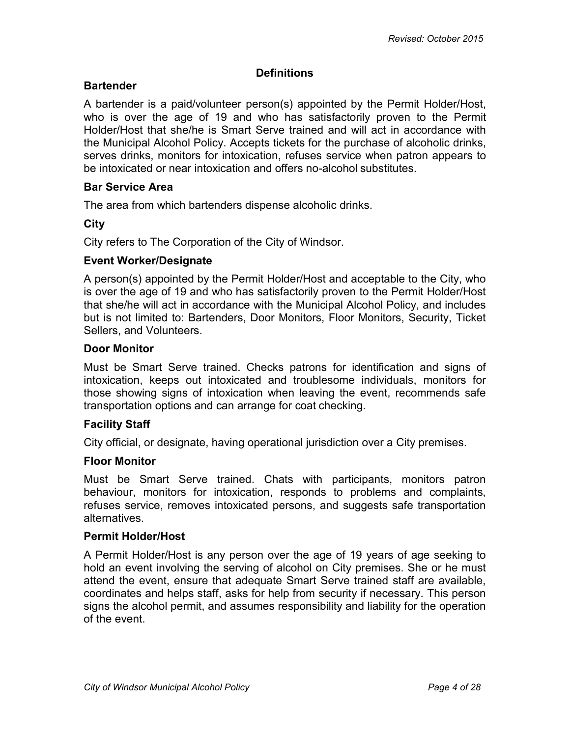## **Definitions**

## <span id="page-3-0"></span>**Bartender**

A bartender is a paid/volunteer person(s) appointed by the Permit Holder/Host, who is over the age of 19 and who has satisfactorily proven to the Permit Holder/Host that she/he is Smart Serve trained and will act in accordance with the Municipal Alcohol Policy. Accepts tickets for the purchase of alcoholic drinks, serves drinks, monitors for intoxication, refuses service when patron appears to be intoxicated or near intoxication and offers no-alcohol substitutes.

## **Bar Service Area**

The area from which bartenders dispense alcoholic drinks.

## **City**

City refers to The Corporation of the City of Windsor.

## **Event Worker/Designate**

A person(s) appointed by the Permit Holder/Host and acceptable to the City, who is over the age of 19 and who has satisfactorily proven to the Permit Holder/Host that she/he will act in accordance with the Municipal Alcohol Policy, and includes but is not limited to: Bartenders, Door Monitors, Floor Monitors, Security, Ticket Sellers, and Volunteers.

## **Door Monitor**

Must be Smart Serve trained. Checks patrons for identification and signs of intoxication, keeps out intoxicated and troublesome individuals, monitors for those showing signs of intoxication when leaving the event, recommends safe transportation options and can arrange for coat checking.

## **Facility Staff**

City official, or designate, having operational jurisdiction over a City premises.

## **Floor Monitor**

Must be Smart Serve trained. Chats with participants, monitors patron behaviour, monitors for intoxication, responds to problems and complaints, refuses service, removes intoxicated persons, and suggests safe transportation alternatives.

## **Permit Holder/Host**

A Permit Holder/Host is any person over the age of 19 years of age seeking to hold an event involving the serving of alcohol on City premises. She or he must attend the event, ensure that adequate Smart Serve trained staff are available, coordinates and helps staff, asks for help from security if necessary. This person signs the alcohol permit, and assumes responsibility and liability for the operation of the event.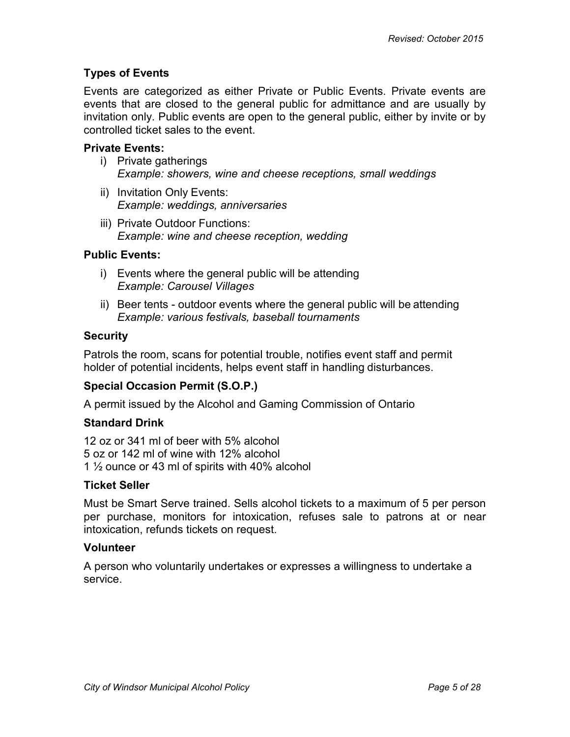## **Types of Events**

Events are categorized as either Private or Public Events. Private events are events that are closed to the general public for admittance and are usually by invitation only. Public events are open to the general public, either by invite or by controlled ticket sales to the event.

### **Private Events:**

- i) Private gatherings *Example: showers, wine and cheese receptions, small weddings*
- ii) Invitation Only Events: *Example: weddings, anniversaries*
- iii) Private Outdoor Functions: *Example: wine and cheese reception, wedding*

#### **Public Events:**

- i) Events where the general public will be attending *Example: Carousel Villages*
- ii) Beer tents outdoor events where the general public will be attending *Example: various festivals, baseball tournaments*

## **Security**

Patrols the room, scans for potential trouble, notifies event staff and permit holder of potential incidents, helps event staff in handling disturbances.

## **Special Occasion Permit (S.O.P.)**

A permit issued by the Alcohol and Gaming Commission of Ontario

## **Standard Drink**

12 oz or 341 ml of beer with 5% alcohol 5 oz or 142 ml of wine with 12% alcohol 1 ½ ounce or 43 ml of spirits with 40% alcohol

#### **Ticket Seller**

Must be Smart Serve trained. Sells alcohol tickets to a maximum of 5 per person per purchase, monitors for intoxication, refuses sale to patrons at or near intoxication, refunds tickets on request.

#### **Volunteer**

A person who voluntarily undertakes or expresses a willingness to undertake a service.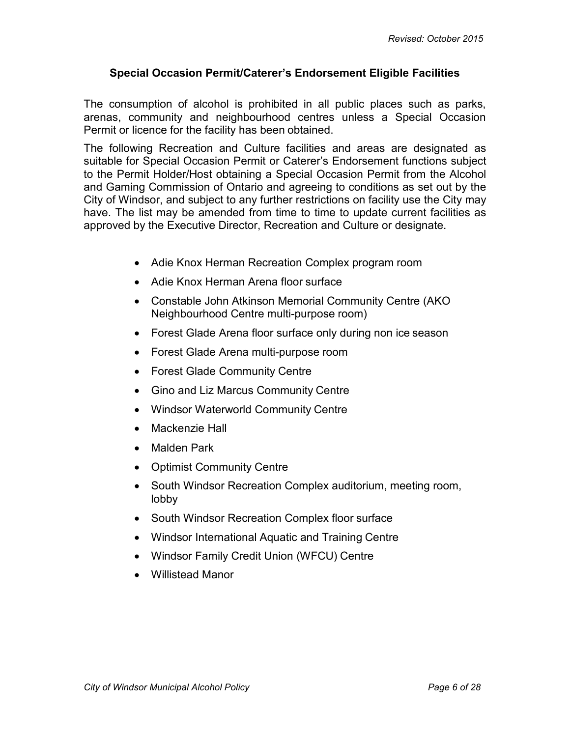## <span id="page-5-0"></span>**Special Occasion Permit/Caterer's Endorsement Eligible Facilities**

The consumption of alcohol is prohibited in all public places such as parks, arenas, community and neighbourhood centres unless a Special Occasion Permit or licence for the facility has been obtained.

The following Recreation and Culture facilities and areas are designated as suitable for Special Occasion Permit or Caterer's Endorsement functions subject to the Permit Holder/Host obtaining a Special Occasion Permit from the Alcohol and Gaming Commission of Ontario and agreeing to conditions as set out by the City of Windsor, and subject to any further restrictions on facility use the City may have. The list may be amended from time to time to update current facilities as approved by the Executive Director, Recreation and Culture or designate.

- Adie Knox Herman Recreation Complex program room
- Adie Knox Herman Arena floor surface
- Constable John Atkinson Memorial Community Centre (AKO Neighbourhood Centre multi-purpose room)
- Forest Glade Arena floor surface only during non ice season
- Forest Glade Arena multi-purpose room
- Forest Glade Community Centre
- Gino and Liz Marcus Community Centre
- Windsor Waterworld Community Centre
- Mackenzie Hall
- Malden Park
- Optimist Community Centre
- South Windsor Recreation Complex auditorium, meeting room, lobby
- South Windsor Recreation Complex floor surface
- Windsor International Aquatic and Training Centre
- Windsor Family Credit Union (WFCU) Centre
- Willistead Manor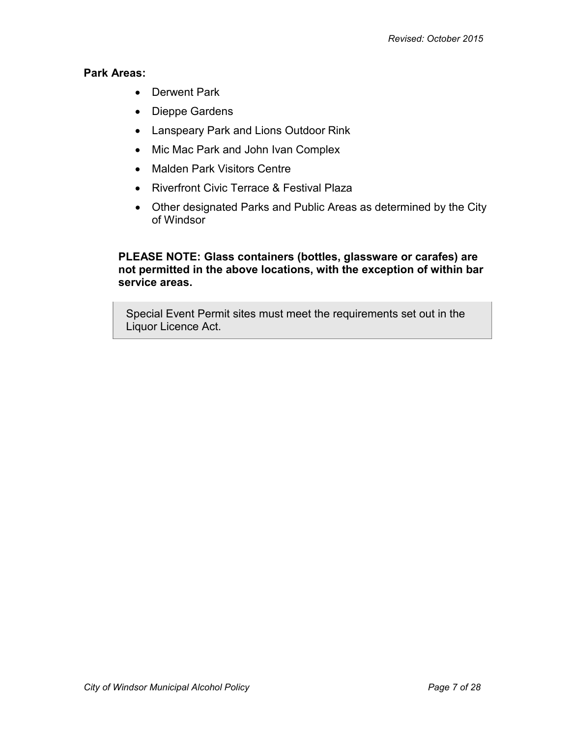## **Park Areas:**

- Derwent Park
- Dieppe Gardens
- Lanspeary Park and Lions Outdoor Rink
- Mic Mac Park and John Ivan Complex
- Malden Park Visitors Centre
- Riverfront Civic Terrace & Festival Plaza
- Other designated Parks and Public Areas as determined by the City of Windsor

**PLEASE NOTE: Glass containers (bottles, glassware or carafes) are not permitted in the above locations, with the exception of within bar service areas.**

Special Event Permit sites must meet the requirements set out in the Liquor Licence Act.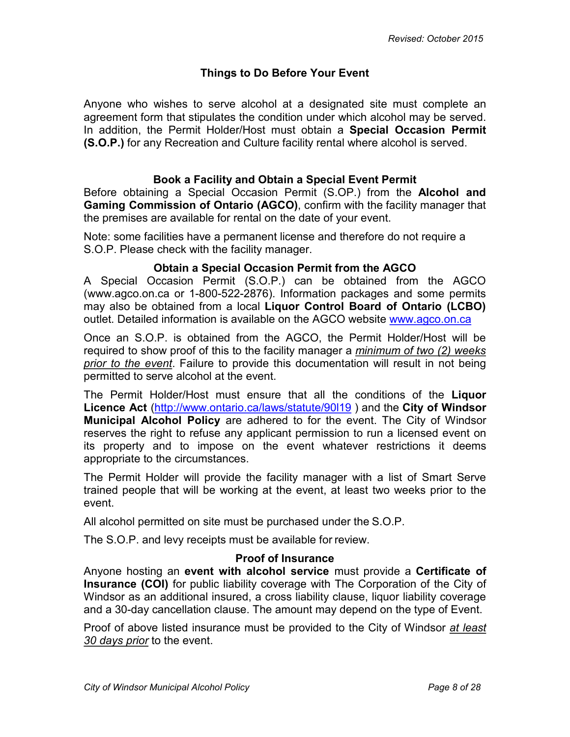## **Things to Do Before Your Event**

<span id="page-7-0"></span>Anyone who wishes to serve alcohol at a designated site must complete an agreement form that stipulates the condition under which alcohol may be served. In addition, the Permit Holder/Host must obtain a **Special Occasion Permit (S.O.P.)** for any Recreation and Culture facility rental where alcohol is served.

### **Book a Facility and Obtain a Special Event Permit**

<span id="page-7-1"></span>Before obtaining a Special Occasion Permit (S.OP.) from the **Alcohol and Gaming Commission of Ontario (AGCO)**, confirm with the facility manager that the premises are available for rental on the date of your event.

Note: some facilities have a permanent license and therefore do not require a S.O.P. Please check with the facility manager.

#### **Obtain a Special Occasion Permit from the AGCO**

<span id="page-7-2"></span>A Special Occasion Permit (S.O.P.) can be obtained from the AGCO [\(www.agco.on.ca](http://www.agco.on.ca/) or 1-800-522-2876). Information packages and some permits may also be obtained from a local **Liquor Control Board of Ontario (LCBO)**  outlet. Detailed information is available on the AGCO website [www.agco.on.ca](http://www.agco.on.ca/)

Once an S.O.P. is obtained from the AGCO, the Permit Holder/Host will be required to show proof of this to the facility manager a *minimum of two (2) weeks prior to the event*. Failure to provide this documentation will result in not being permitted to serve alcohol at the event.

The Permit Holder/Host must ensure that all the conditions of the **Liquor Licence Act** [\(http://www.ontario.ca/laws/statute/90l19](http://www.ontario.ca/laws/statute/90l19) ) and the **City of Windsor Municipal Alcohol Policy** are adhered to for the event. The City of Windsor reserves the right to refuse any applicant permission to run a licensed event on its property and to impose on the event whatever restrictions it deems appropriate to the circumstances.

The Permit Holder will provide the facility manager with a list of Smart Serve trained people that will be working at the event, at least two weeks prior to the event.

All alcohol permitted on site must be purchased under the S.O.P.

The S.O.P. and levy receipts must be available for review.

#### **Proof of Insurance**

<span id="page-7-3"></span>Anyone hosting an **event with alcohol service** must provide a **Certificate of Insurance (COI)** for public liability coverage with The Corporation of the City of Windsor as an additional insured, a cross liability clause, liquor liability coverage and a 30-day cancellation clause. The amount may depend on the type of Event.

Proof of above listed insurance must be provided to the City of Windsor *at least 30 days prior* to the event.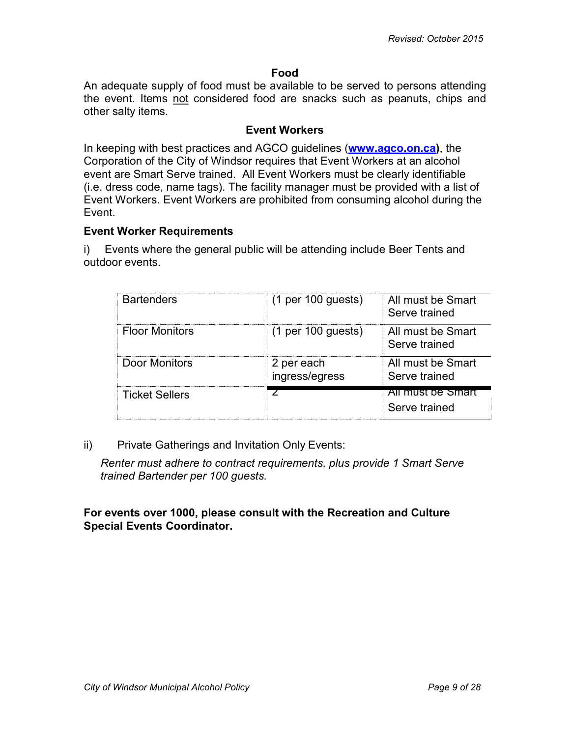#### **Food**

<span id="page-8-0"></span>An adequate supply of food must be available to be served to persons attending the event. Items not considered food are snacks such as peanuts, chips and other salty items.

#### **Event Workers**

<span id="page-8-1"></span>In keeping with best practices and AGCO guidelines (**[www.agco.on.ca\)](http://www.agco.on.ca/)**, the Corporation of the City of Windsor requires that Event Workers at an alcohol event are Smart Serve trained. All Event Workers must be clearly identifiable (i.e. dress code, name tags). The facility manager must be provided with a list of Event Workers. Event Workers are prohibited from consuming alcohol during the Event.

#### **Event Worker Requirements**

i) Events where the general public will be attending include Beer Tents and outdoor events.

| <b>Bartenders</b>     | $(1 \text{ per } 100 \text{ guests})$ | All must be Smart<br>Serve trained |
|-----------------------|---------------------------------------|------------------------------------|
| <b>Floor Monitors</b> | $(1 \text{ per } 100 \text{ guests})$ | All must be Smart<br>Serve trained |
| Door Monitors         | 2 per each<br>ingress/egress          | All must be Smart<br>Serve trained |
| <b>Ticket Sellers</b> |                                       | All must be Smart<br>Serve trained |

ii) Private Gatherings and Invitation Only Events:

*Renter must adhere to contract requirements, plus provide 1 Smart Serve trained Bartender per 100 guests.*

#### **For events over 1000, please consult with the Recreation and Culture Special Events Coordinator.**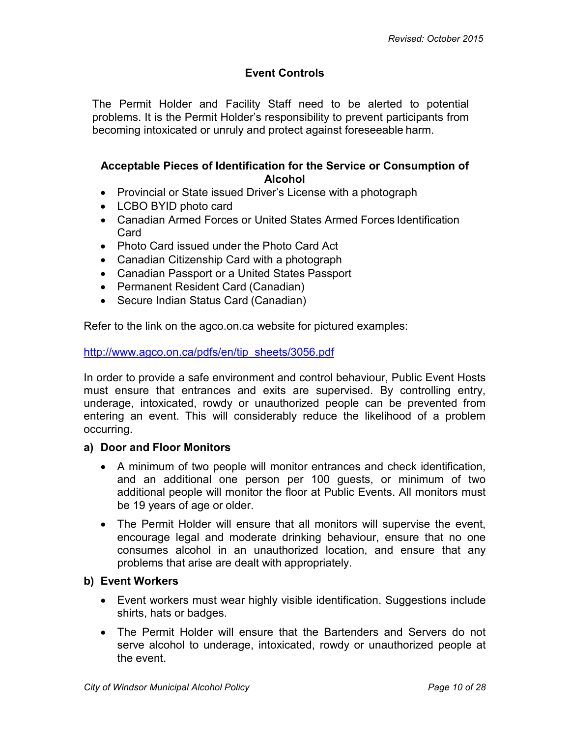## **Event Controls**

<span id="page-9-0"></span>The Permit Holder and Facility Staff need to be alerted to potential problems. It is the Permit Holder's responsibility to prevent participants from becoming intoxicated or unruly and protect against foreseeable harm.

#### <span id="page-9-1"></span>**Acceptable Pieces of Identification for the Service or Consumption of Alcohol**

- Provincial or State issued Driver's License with a photograph
- LCBO BYID photo card
- Canadian Armed Forces or United States Armed Forces Identification Card
- Photo Card issued under the Photo Card Act
- Canadian Citizenship Card with a photograph
- Canadian Passport or a United States Passport
- Permanent Resident Card (Canadian)
- Secure Indian Status Card (Canadian)

Refer to the link on the agco.on.ca website for pictured examples:

[http://www.agco.on.ca/pdfs/en/tip\\_sheets/3056.pdf](http://www.agco.on.ca/pdfs/en/tip_sheets/3056.pdf)

In order to provide a safe environment and control behaviour, Public Event Hosts must ensure that entrances and exits are supervised. By controlling entry, underage, intoxicated, rowdy or unauthorized people can be prevented from entering an event. This will considerably reduce the likelihood of a problem occurring.

#### **a) Door and Floor Monitors**

- A minimum of two people will monitor entrances and check identification, and an additional one person per 100 guests, or minimum of two additional people will monitor the floor at Public Events. All monitors must be 19 years of age or older.
- The Permit Holder will ensure that all monitors will supervise the event, encourage legal and moderate drinking behaviour, ensure that no one consumes alcohol in an unauthorized location, and ensure that any problems that arise are dealt with appropriately.

#### **b) Event Workers**

- Event workers must wear highly visible identification. Suggestions include shirts, hats or badges.
- The Permit Holder will ensure that the Bartenders and Servers do not serve alcohol to underage, intoxicated, rowdy or unauthorized people at the event.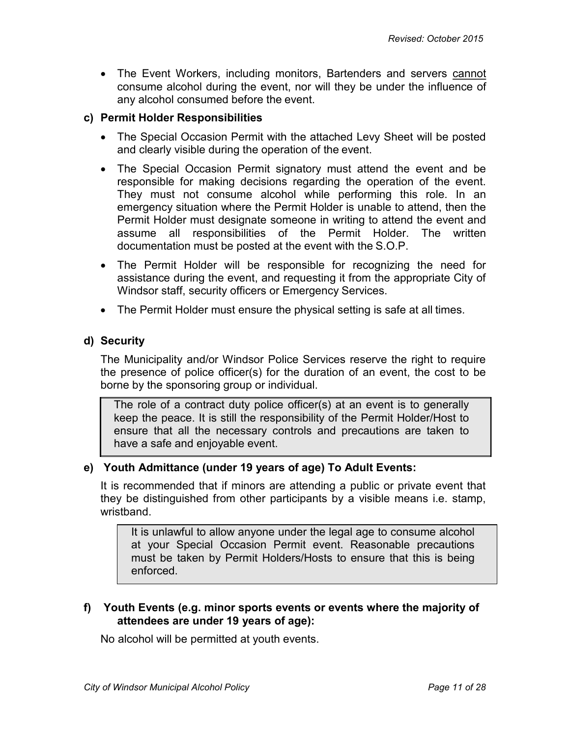• The Event Workers, including monitors, Bartenders and servers cannot consume alcohol during the event, nor will they be under the influence of any alcohol consumed before the event.

### **c) Permit Holder Responsibilities**

- The Special Occasion Permit with the attached Levy Sheet will be posted and clearly visible during the operation of the event.
- The Special Occasion Permit signatory must attend the event and be responsible for making decisions regarding the operation of the event. They must not consume alcohol while performing this role. In an emergency situation where the Permit Holder is unable to attend, then the Permit Holder must designate someone in writing to attend the event and assume all responsibilities of the Permit Holder. The written documentation must be posted at the event with the S.O.P.
- The Permit Holder will be responsible for recognizing the need for assistance during the event, and requesting it from the appropriate City of Windsor staff, security officers or Emergency Services.
- The Permit Holder must ensure the physical setting is safe at all times.

## **d) Security**

The Municipality and/or Windsor Police Services reserve the right to require the presence of police officer(s) for the duration of an event, the cost to be borne by the sponsoring group or individual.

The role of a contract duty police officer(s) at an event is to generally keep the peace. It is still the responsibility of the Permit Holder/Host to ensure that all the necessary controls and precautions are taken to have a safe and enjoyable event.

## **e) Youth Admittance (under 19 years of age) To Adult Events:**

It is recommended that if minors are attending a public or private event that they be distinguished from other participants by a visible means i.e. stamp, wristband.

It is unlawful to allow anyone under the legal age to consume alcohol at your Special Occasion Permit event. Reasonable precautions must be taken by Permit Holders/Hosts to ensure that this is being enforced.

## **f) Youth Events (e.g. minor sports events or events where the majority of attendees are under 19 years of age):**

No alcohol will be permitted at youth events.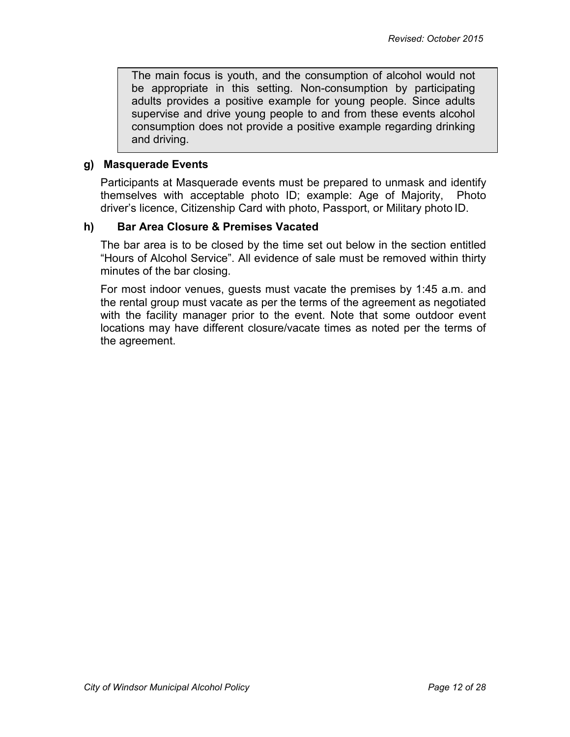The main focus is youth, and the consumption of alcohol would not be appropriate in this setting. Non-consumption by participating adults provides a positive example for young people. Since adults supervise and drive young people to and from these events alcohol consumption does not provide a positive example regarding drinking and driving.

#### **g) Masquerade Events**

Participants at Masquerade events must be prepared to unmask and identify themselves with acceptable photo ID; example: Age of Majority, Photo driver's licence, Citizenship Card with photo, Passport, or Military photo ID.

#### **h) Bar Area Closure & Premises Vacated**

The bar area is to be closed by the time set out below in the section entitled "Hours of Alcohol Service". All evidence of sale must be removed within thirty minutes of the bar closing.

For most indoor venues, guests must vacate the premises by 1:45 a.m. and the rental group must vacate as per the terms of the agreement as negotiated with the facility manager prior to the event. Note that some outdoor event locations may have different closure/vacate times as noted per the terms of the agreement.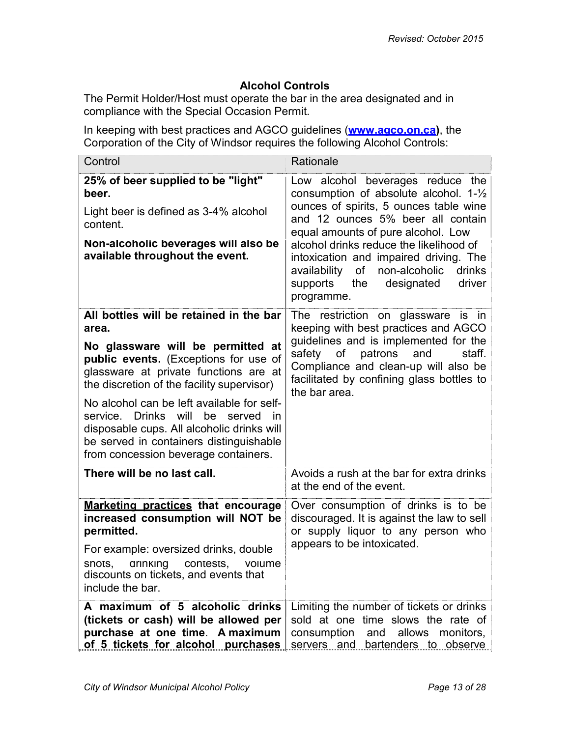## **Alcohol Controls**

<span id="page-12-0"></span>The Permit Holder/Host must operate the bar in the area designated and in compliance with the Special Occasion Permit.

In keeping with best practices and AGCO guidelines (**[www.agco.on.ca\)](http://www.agco.on.ca/)**, the Corporation of the City of Windsor requires the following Alcohol Controls:

| Control                                                                                                                                                                                                                     | Rationale                                                                                                                                                                                                                                                                                                                                                                                   |
|-----------------------------------------------------------------------------------------------------------------------------------------------------------------------------------------------------------------------------|---------------------------------------------------------------------------------------------------------------------------------------------------------------------------------------------------------------------------------------------------------------------------------------------------------------------------------------------------------------------------------------------|
| 25% of beer supplied to be "light"<br>beer.<br>Light beer is defined as 3-4% alcohol<br>content.<br>Non-alcoholic beverages will also be<br>available throughout the event.                                                 | Low alcohol beverages reduce the<br>consumption of absolute alcohol. 1-1/2<br>ounces of spirits, 5 ounces table wine<br>and 12 ounces 5% beer all contain<br>equal amounts of pure alcohol. Low<br>alcohol drinks reduce the likelihood of<br>intoxication and impaired driving. The<br>non-alcoholic<br>availability<br>of<br>drinks<br>supports the<br>designated<br>driver<br>programme. |
| All bottles will be retained in the bar<br>area.<br>No glassware will be permitted at<br>public events. (Exceptions for use of<br>glassware at private functions are at<br>the discretion of the facility supervisor)       | The restriction on glassware is in<br>keeping with best practices and AGCO<br>guidelines and is implemented for the<br>safety<br>of<br>patrons<br>and<br>staff.<br>Compliance and clean-up will also be<br>facilitated by confining glass bottles to<br>the bar area.                                                                                                                       |
| No alcohol can be left available for self-<br>service. Drinks will<br>be<br>served<br>in —<br>disposable cups. All alcoholic drinks will<br>be served in containers distinguishable<br>from concession beverage containers. |                                                                                                                                                                                                                                                                                                                                                                                             |
| There will be no last call.                                                                                                                                                                                                 | Avoids a rush at the bar for extra drinks<br>at the end of the event.                                                                                                                                                                                                                                                                                                                       |
| Marketing practices that encourage<br>increased consumption will NOT be<br>permitted.<br>For example: oversized drinks, double<br>SNOTS,<br>arinking<br>contests,<br>volume<br>discounts on tickets, and events that        | Over consumption of drinks is to be<br>discouraged. It is against the law to sell<br>or supply liquor to any person who<br>appears to be intoxicated.                                                                                                                                                                                                                                       |
| include the bar.<br>A maximum of 5 alcoholic drinks<br>(tickets or cash) will be allowed per<br>purchase at one time. A maximum<br>of 5 tickets for alcohol purchases                                                       | Limiting the number of tickets or drinks<br>sold at one time slows the rate of<br>consumption<br>and allows monitors,<br>servers and bartenders to observe                                                                                                                                                                                                                                  |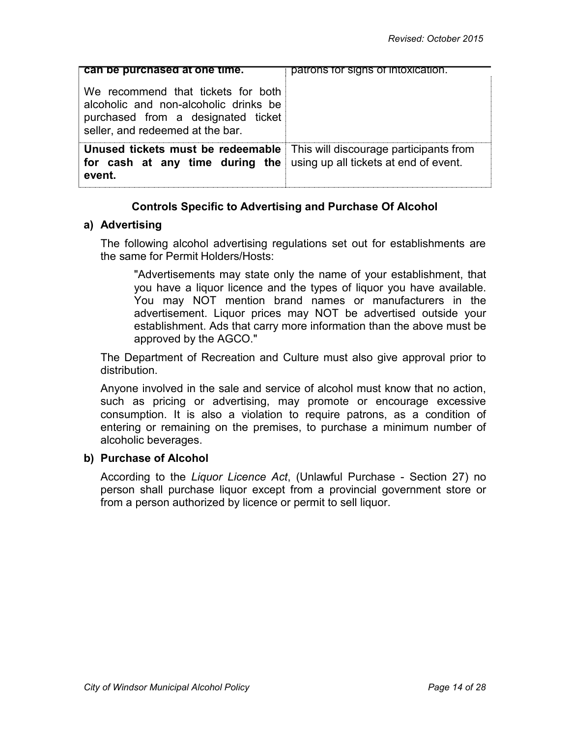| can be purchased at one time.                                                                                                                                      | patrons for signs of intoxication. |
|--------------------------------------------------------------------------------------------------------------------------------------------------------------------|------------------------------------|
| We recommend that tickets for both<br>alcoholic and non-alcoholic drinks be<br>purchased from a designated ticket<br>seller, and redeemed at the bar.              |                                    |
| <b>Unused tickets must be redeemable</b> This will discourage participants from<br>for cash at any time during the using up all tickets at end of event.<br>event. |                                    |

## **Controls Specific to Advertising and Purchase Of Alcohol**

#### <span id="page-13-0"></span>**a) Advertising**

The following alcohol advertising regulations set out for establishments are the same for Permit Holders/Hosts:

"Advertisements may state only the name of your establishment, that you have a liquor licence and the types of liquor you have available. You may NOT mention brand names or manufacturers in the advertisement. Liquor prices may NOT be advertised outside your establishment. Ads that carry more information than the above must be approved by the AGCO."

The Department of Recreation and Culture must also give approval prior to distribution.

Anyone involved in the sale and service of alcohol must know that no action, such as pricing or advertising, may promote or encourage excessive consumption. It is also a violation to require patrons, as a condition of entering or remaining on the premises, to purchase a minimum number of alcoholic beverages.

#### **b) Purchase of Alcohol**

According to the *Liquor Licence Act*, (Unlawful Purchase - Section 27) no person shall purchase liquor except from a provincial government store or from a person authorized by licence or permit to sell liquor.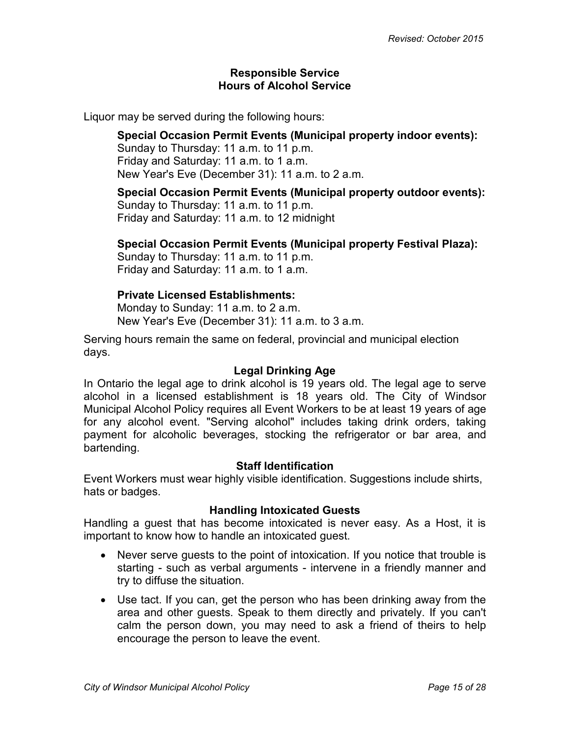#### <span id="page-14-1"></span>**Responsible Service Hours of Alcohol Service**

<span id="page-14-0"></span>Liquor may be served during the following hours:

**Special Occasion Permit Events (Municipal property indoor events):** Sunday to Thursday: 11 a.m. to 11 p.m. Friday and Saturday: 11 a.m. to 1 a.m. New Year's Eve (December 31): 11 a.m. to 2 a.m.

**Special Occasion Permit Events (Municipal property outdoor events):** Sunday to Thursday: 11 a.m. to 11 p.m. Friday and Saturday: 11 a.m. to 12 midnight

# **Special Occasion Permit Events (Municipal property Festival Plaza):**

Sunday to Thursday: 11 a.m. to 11 p.m. Friday and Saturday: 11 a.m. to 1 a.m.

## **Private Licensed Establishments:**

Monday to Sunday: 11 a.m. to 2 a.m. New Year's Eve (December 31): 11 a.m. to 3 a.m.

Serving hours remain the same on federal, provincial and municipal election days.

## **Legal Drinking Age**

<span id="page-14-2"></span>In Ontario the legal age to drink alcohol is 19 years old. The legal age to serve alcohol in a licensed establishment is 18 years old. The City of Windsor Municipal Alcohol Policy requires all Event Workers to be at least 19 years of age for any alcohol event. "Serving alcohol" includes taking drink orders, taking payment for alcoholic beverages, stocking the refrigerator or bar area, and bartending.

#### **Staff Identification**

<span id="page-14-3"></span>Event Workers must wear highly visible identification. Suggestions include shirts, hats or badges.

## **Handling Intoxicated Guests**

<span id="page-14-4"></span>Handling a guest that has become intoxicated is never easy. As a Host, it is important to know how to handle an intoxicated guest.

- Never serve quests to the point of intoxication. If you notice that trouble is starting - such as verbal arguments - intervene in a friendly manner and try to diffuse the situation.
- Use tact. If you can, get the person who has been drinking away from the area and other guests. Speak to them directly and privately. If you can't calm the person down, you may need to ask a friend of theirs to help encourage the person to leave the event.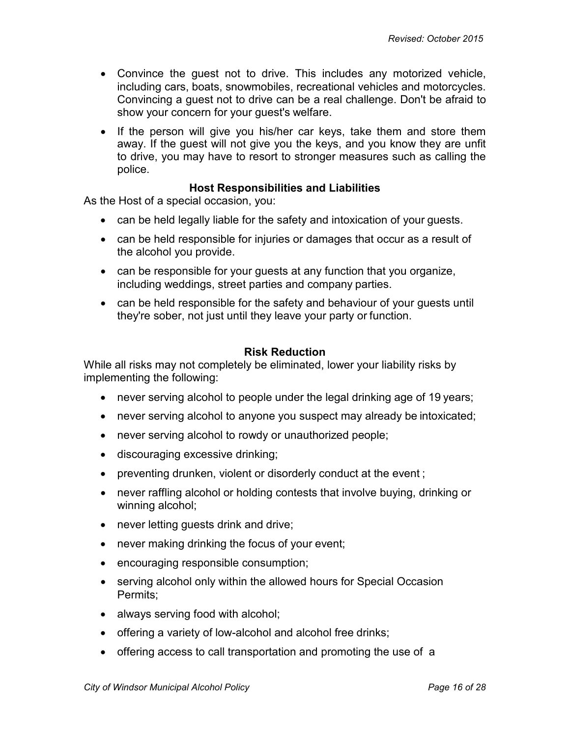- Convince the guest not to drive. This includes any motorized vehicle, including cars, boats, snowmobiles, recreational vehicles and motorcycles. Convincing a guest not to drive can be a real challenge. Don't be afraid to show your concern for your guest's welfare.
- If the person will give you his/her car keys, take them and store them away. If the guest will not give you the keys, and you know they are unfit to drive, you may have to resort to stronger measures such as calling the police.

#### **Host Responsibilities and Liabilities**

<span id="page-15-0"></span>As the Host of a special occasion, you:

- can be held legally liable for the safety and intoxication of your guests.
- can be held responsible for injuries or damages that occur as a result of the alcohol you provide.
- can be responsible for your guests at any function that you organize, including weddings, street parties and company parties.
- can be held responsible for the safety and behaviour of your guests until they're sober, not just until they leave your party or function.

#### **Risk Reduction**

<span id="page-15-1"></span>While all risks may not completely be eliminated, lower your liability risks by implementing the following:

- never serving alcohol to people under the legal drinking age of 19 years;
- never serving alcohol to anyone you suspect may already be intoxicated;
- never serving alcohol to rowdy or unauthorized people;
- discouraging excessive drinking;
- preventing drunken, violent or disorderly conduct at the event;
- never raffling alcohol or holding contests that involve buying, drinking or winning alcohol;
- never letting quests drink and drive;
- never making drinking the focus of your event;
- encouraging responsible consumption;
- serving alcohol only within the allowed hours for Special Occasion Permits;
- always serving food with alcohol;
- offering a variety of low-alcohol and alcohol free drinks;
- offering access to call transportation and promoting the use of a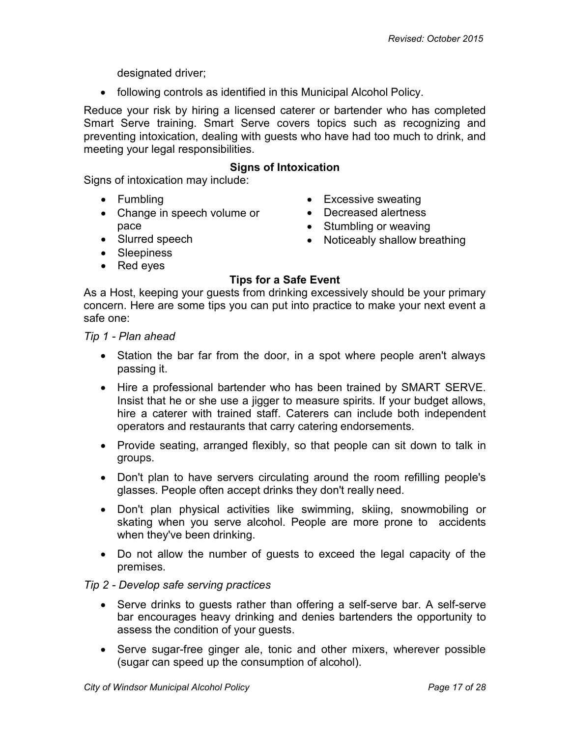designated driver;

• following controls as identified in this Municipal Alcohol Policy.

Reduce your risk by hiring a licensed caterer or bartender who has completed Smart Serve training. Smart Serve covers topics such as recognizing and preventing intoxication, dealing with guests who have had too much to drink, and meeting your legal responsibilities.

#### **Signs of Intoxication**

<span id="page-16-0"></span>Signs of intoxication may include:

- Fumbling
- Change in speech volume or pace
- Slurred speech
- Excessive sweating
- Decreased alertness
- Stumbling or weaving
- Noticeably shallow breathing
- Sleepiness
- Red eyes

#### **Tips for a Safe Event**

<span id="page-16-1"></span>As a Host, keeping your guests from drinking excessively should be your primary concern. Here are some tips you can put into practice to make your next event a safe one:

*Tip 1 - Plan ahead*

- Station the bar far from the door, in a spot where people aren't always passing it.
- Hire a professional bartender who has been trained by SMART SERVE. Insist that he or she use a jigger to measure spirits. If your budget allows, hire a caterer with trained staff. Caterers can include both independent operators and restaurants that carry catering endorsements.
- Provide seating, arranged flexibly, so that people can sit down to talk in groups.
- Don't plan to have servers circulating around the room refilling people's glasses. People often accept drinks they don't really need.
- Don't plan physical activities like swimming, skiing, snowmobiling or skating when you serve alcohol. People are more prone to accidents when they've been drinking.
- Do not allow the number of guests to exceed the legal capacity of the premises.

#### *Tip 2 - Develop safe serving practices*

- Serve drinks to guests rather than offering a self-serve bar. A self-serve bar encourages heavy drinking and denies bartenders the opportunity to assess the condition of your guests.
- Serve sugar-free ginger ale, tonic and other mixers, wherever possible (sugar can speed up the consumption of alcohol).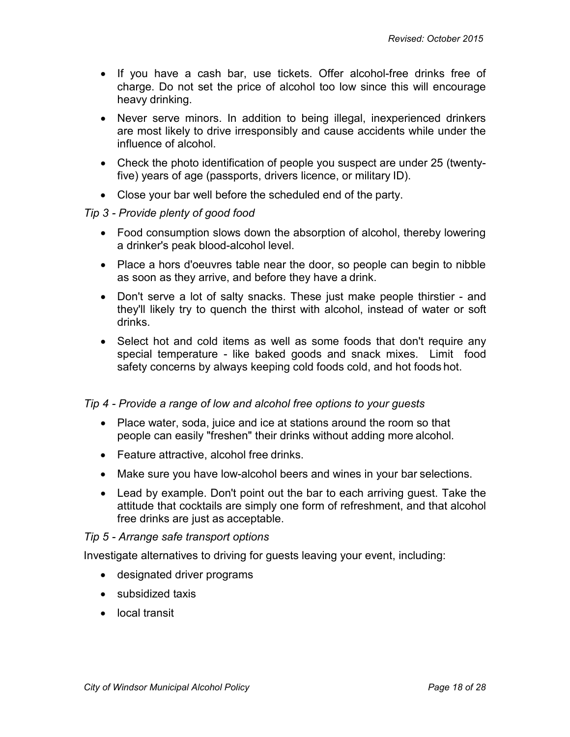- If you have a cash bar, use tickets. Offer alcohol-free drinks free of charge. Do not set the price of alcohol too low since this will encourage heavy drinking.
- Never serve minors. In addition to being illegal, inexperienced drinkers are most likely to drive irresponsibly and cause accidents while under the influence of alcohol.
- Check the photo identification of people you suspect are under 25 (twentyfive) years of age (passports, drivers licence, or military ID).
- Close your bar well before the scheduled end of the party.

#### *Tip 3 - Provide plenty of good food*

- Food consumption slows down the absorption of alcohol, thereby lowering a drinker's peak blood-alcohol level.
- Place a hors d'oeuvres table near the door, so people can begin to nibble as soon as they arrive, and before they have a drink.
- Don't serve a lot of salty snacks. These just make people thirstier and they'll likely try to quench the thirst with alcohol, instead of water or soft drinks.
- Select hot and cold items as well as some foods that don't require any special temperature - like baked goods and snack mixes. Limit food safety concerns by always keeping cold foods cold, and hot foods hot.

## *Tip 4 - Provide a range of low and alcohol free options to your guests*

- Place water, soda, juice and ice at stations around the room so that people can easily "freshen" their drinks without adding more alcohol.
- Feature attractive, alcohol free drinks.
- Make sure you have low-alcohol beers and wines in your bar selections.
- Lead by example. Don't point out the bar to each arriving guest. Take the attitude that cocktails are simply one form of refreshment, and that alcohol free drinks are just as acceptable.

#### *Tip 5 - Arrange safe transport options*

Investigate alternatives to driving for guests leaving your event, including:

- designated driver programs
- subsidized taxis
- local transit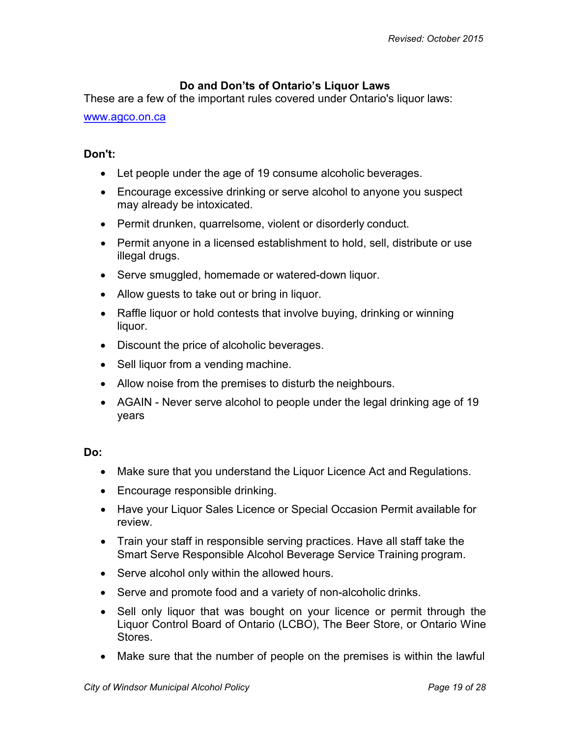## **Do and Don'ts of Ontario's Liquor Laws**

<span id="page-18-0"></span>These are a few of the important rules covered under Ontario's liquor laws:

#### [www.agco.on.ca](http://www.agco.on.ca/)

#### **Don't:**

- Let people under the age of 19 consume alcoholic beverages.
- Encourage excessive drinking or serve alcohol to anyone you suspect may already be intoxicated.
- Permit drunken, quarrelsome, violent or disorderly conduct.
- Permit anyone in a licensed establishment to hold, sell, distribute or use illegal drugs.
- Serve smuggled, homemade or watered-down liquor.
- Allow guests to take out or bring in liquor.
- Raffle liquor or hold contests that involve buying, drinking or winning liquor.
- Discount the price of alcoholic beverages.
- Sell liquor from a vending machine.
- Allow noise from the premises to disturb the neighbours.
- AGAIN Never serve alcohol to people under the legal drinking age of 19 years

#### **Do:**

- Make sure that you understand the Liquor Licence Act and Regulations.
- Encourage responsible drinking.
- Have your Liquor Sales Licence or Special Occasion Permit available for review.
- Train your staff in responsible serving practices. Have all staff take the Smart Serve Responsible Alcohol Beverage Service Training program.
- Serve alcohol only within the allowed hours.
- Serve and promote food and a variety of non-alcoholic drinks.
- Sell only liquor that was bought on your licence or permit through the Liquor Control Board of Ontario (LCBO), The Beer Store, or Ontario Wine Stores.
- Make sure that the number of people on the premises is within the lawful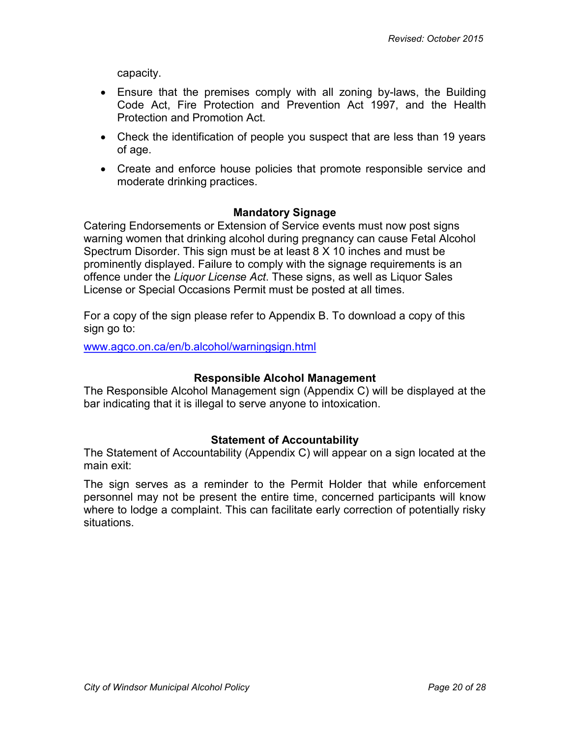capacity.

- Ensure that the premises comply with all zoning by-laws, the Building Code Act, Fire Protection and Prevention Act 1997, and the Health Protection and Promotion Act.
- Check the identification of people you suspect that are less than 19 years of age.
- Create and enforce house policies that promote responsible service and moderate drinking practices.

## **Mandatory Signage**

<span id="page-19-0"></span>Catering Endorsements or Extension of Service events must now post signs warning women that drinking alcohol during pregnancy can cause Fetal Alcohol Spectrum Disorder. This sign must be at least 8 X 10 inches and must be prominently displayed. Failure to comply with the signage requirements is an offence under the *Liquor License Act*. These signs, as well as Liquor Sales License or Special Occasions Permit must be posted at all times.

For a copy of the sign please refer to Appendix B. To download a copy of this sign go to:

[www.agco.on.ca/en/b.alcohol/warningsign.html](http://www.agco.on.ca/en/b.alcohol/warningsign.html)

#### **Responsible Alcohol Management**

<span id="page-19-1"></span>The Responsible Alcohol Management sign (Appendix C) will be displayed at the bar indicating that it is illegal to serve anyone to intoxication.

#### **Statement of Accountability**

<span id="page-19-2"></span>The Statement of Accountability (Appendix C) will appear on a sign located at the main exit:

The sign serves as a reminder to the Permit Holder that while enforcement personnel may not be present the entire time, concerned participants will know where to lodge a complaint. This can facilitate early correction of potentially risky situations.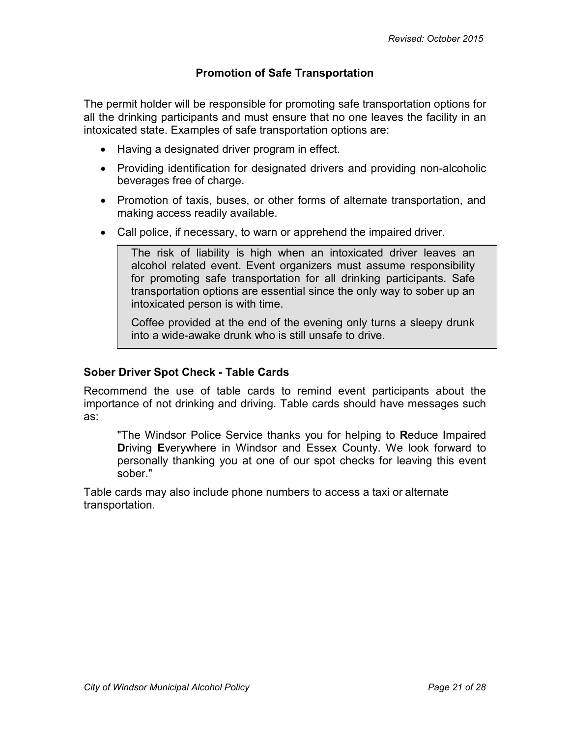## **Promotion of Safe Transportation**

<span id="page-20-0"></span>The permit holder will be responsible for promoting safe transportation options for all the drinking participants and must ensure that no one leaves the facility in an intoxicated state. Examples of safe transportation options are:

- Having a designated driver program in effect.
- Providing identification for designated drivers and providing non-alcoholic beverages free of charge.
- Promotion of taxis, buses, or other forms of alternate transportation, and making access readily available.
- Call police, if necessary, to warn or apprehend the impaired driver.

The risk of liability is high when an intoxicated driver leaves an alcohol related event. Event organizers must assume responsibility for promoting safe transportation for all drinking participants. Safe transportation options are essential since the only way to sober up an intoxicated person is with time.

Coffee provided at the end of the evening only turns a sleepy drunk into a wide-awake drunk who is still unsafe to drive.

## **Sober Driver Spot Check - Table Cards**

Recommend the use of table cards to remind event participants about the importance of not drinking and driving. Table cards should have messages such as:

"The Windsor Police Service thanks you for helping to **R**educe **I**mpaired **D**riving **E**verywhere in Windsor and Essex County. We look forward to personally thanking you at one of our spot checks for leaving this event sober."

Table cards may also include phone numbers to access a taxi or alternate transportation.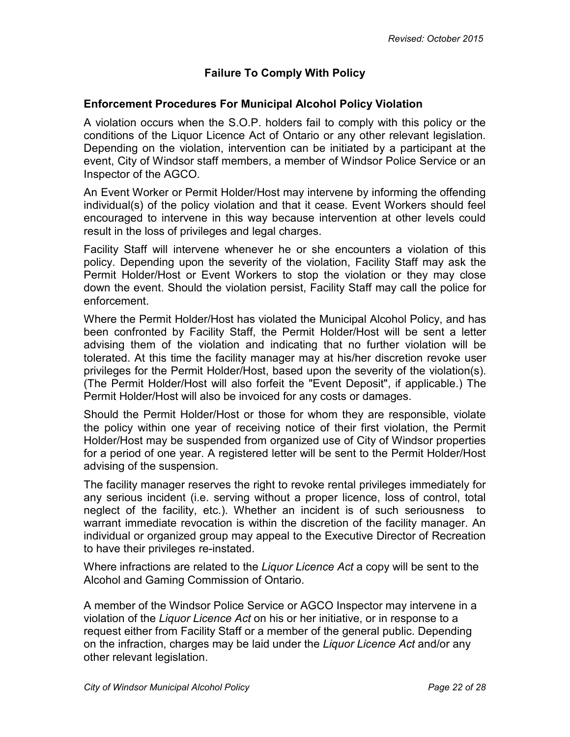# **Failure To Comply With Policy**

#### <span id="page-21-0"></span>**Enforcement Procedures For Municipal Alcohol Policy Violation**

A violation occurs when the S.O.P. holders fail to comply with this policy or the conditions of the Liquor Licence Act of Ontario or any other relevant legislation. Depending on the violation, intervention can be initiated by a participant at the event, City of Windsor staff members, a member of Windsor Police Service or an Inspector of the AGCO.

An Event Worker or Permit Holder/Host may intervene by informing the offending individual(s) of the policy violation and that it cease. Event Workers should feel encouraged to intervene in this way because intervention at other levels could result in the loss of privileges and legal charges.

Facility Staff will intervene whenever he or she encounters a violation of this policy. Depending upon the severity of the violation, Facility Staff may ask the Permit Holder/Host or Event Workers to stop the violation or they may close down the event. Should the violation persist, Facility Staff may call the police for enforcement.

Where the Permit Holder/Host has violated the Municipal Alcohol Policy, and has been confronted by Facility Staff, the Permit Holder/Host will be sent a letter advising them of the violation and indicating that no further violation will be tolerated. At this time the facility manager may at his/her discretion revoke user privileges for the Permit Holder/Host, based upon the severity of the violation(s). (The Permit Holder/Host will also forfeit the "Event Deposit", if applicable.) The Permit Holder/Host will also be invoiced for any costs or damages.

Should the Permit Holder/Host or those for whom they are responsible, violate the policy within one year of receiving notice of their first violation, the Permit Holder/Host may be suspended from organized use of City of Windsor properties for a period of one year. A registered letter will be sent to the Permit Holder/Host advising of the suspension.

The facility manager reserves the right to revoke rental privileges immediately for any serious incident (i.e. serving without a proper licence, loss of control, total neglect of the facility, etc.). Whether an incident is of such seriousness to warrant immediate revocation is within the discretion of the facility manager. An individual or organized group may appeal to the Executive Director of Recreation to have their privileges re-instated.

Where infractions are related to the *Liquor Licence Act* a copy will be sent to the Alcohol and Gaming Commission of Ontario.

A member of the Windsor Police Service or AGCO Inspector may intervene in a violation of the *Liquor Licence Act* on his or her initiative, or in response to a request either from Facility Staff or a member of the general public. Depending on the infraction, charges may be laid under the *Liquor Licence Act* and/or any other relevant legislation.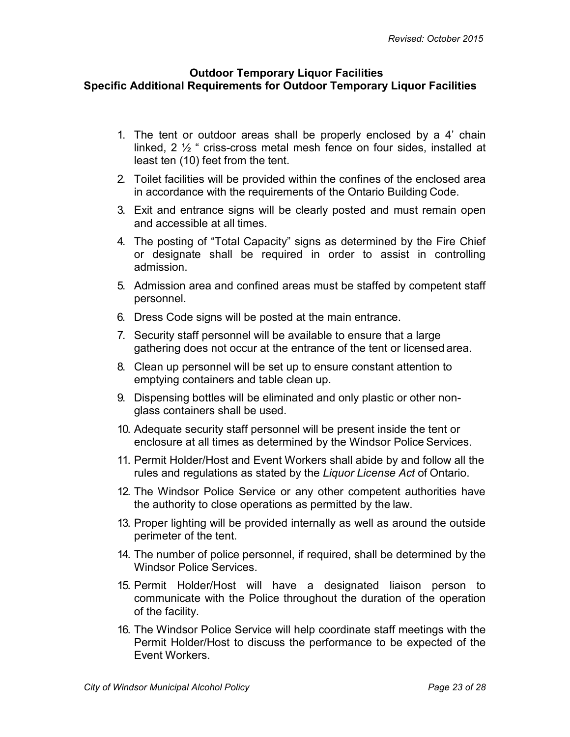#### <span id="page-22-0"></span>**Outdoor Temporary Liquor Facilities Specific Additional Requirements for Outdoor Temporary Liquor Facilities**

- 1. The tent or outdoor areas shall be properly enclosed by a 4' chain linked, 2 ½ " criss-cross metal mesh fence on four sides, installed at least ten (10) feet from the tent.
- 2. Toilet facilities will be provided within the confines of the enclosed area in accordance with the requirements of the Ontario Building Code.
- 3. Exit and entrance signs will be clearly posted and must remain open and accessible at all times.
- 4. The posting of "Total Capacity" signs as determined by the Fire Chief or designate shall be required in order to assist in controlling admission.
- 5. Admission area and confined areas must be staffed by competent staff personnel.
- 6. Dress Code signs will be posted at the main entrance.
- 7. Security staff personnel will be available to ensure that a large gathering does not occur at the entrance of the tent or licensed area.
- 8. Clean up personnel will be set up to ensure constant attention to emptying containers and table clean up.
- 9. Dispensing bottles will be eliminated and only plastic or other nonglass containers shall be used.
- 10. Adequate security staff personnel will be present inside the tent or enclosure at all times as determined by the Windsor Police Services.
- 11. Permit Holder/Host and Event Workers shall abide by and follow all the rules and regulations as stated by the *Liquor License Act* of Ontario.
- 12. The Windsor Police Service or any other competent authorities have the authority to close operations as permitted by the law.
- 13. Proper lighting will be provided internally as well as around the outside perimeter of the tent.
- 14. The number of police personnel, if required, shall be determined by the Windsor Police Services.
- 15. Permit Holder/Host will have a designated liaison person to communicate with the Police throughout the duration of the operation of the facility.
- 16. The Windsor Police Service will help coordinate staff meetings with the Permit Holder/Host to discuss the performance to be expected of the Event Workers.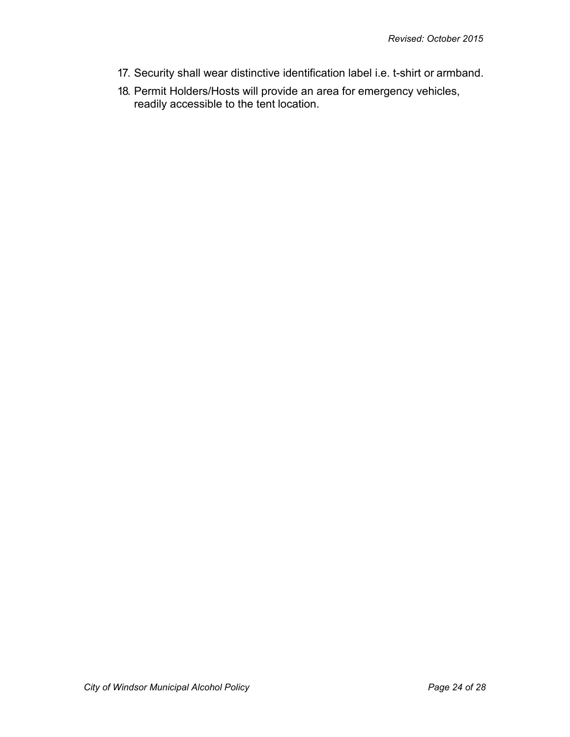- 17. Security shall wear distinctive identification label i.e. t-shirt or armband.
- 18. Permit Holders/Hosts will provide an area for emergency vehicles, readily accessible to the tent location.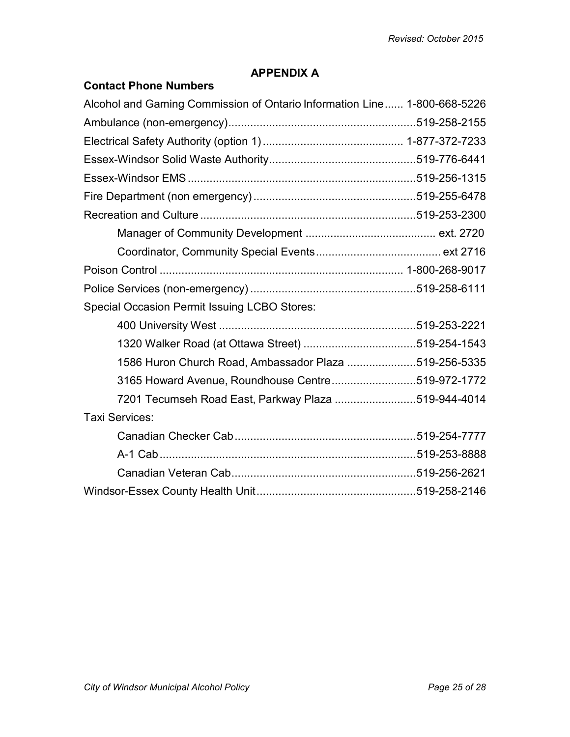## **APPENDIX A**

# <span id="page-24-0"></span>**Contact Phone Numbers**

| Alcohol and Gaming Commission of Ontario Information Line 1-800-668-5226 |  |
|--------------------------------------------------------------------------|--|
|                                                                          |  |
|                                                                          |  |
|                                                                          |  |
|                                                                          |  |
|                                                                          |  |
|                                                                          |  |
|                                                                          |  |
|                                                                          |  |
|                                                                          |  |
|                                                                          |  |
| <b>Special Occasion Permit Issuing LCBO Stores:</b>                      |  |
|                                                                          |  |
|                                                                          |  |
| 1586 Huron Church Road, Ambassador Plaza 519-256-5335                    |  |
| 3165 Howard Avenue, Roundhouse Centre519-972-1772                        |  |
| 7201 Tecumseh Road East, Parkway Plaza 519-944-4014                      |  |
| Taxi Services:                                                           |  |
|                                                                          |  |
|                                                                          |  |
|                                                                          |  |
|                                                                          |  |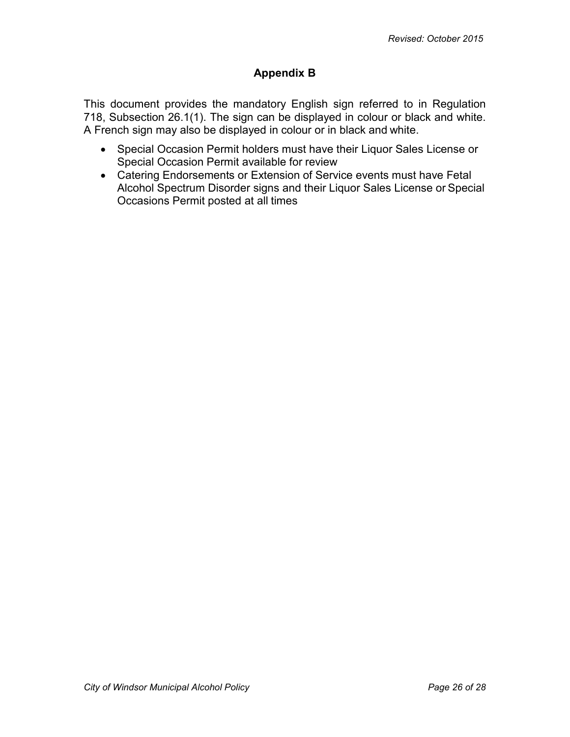## **Appendix B**

<span id="page-25-0"></span>This document provides the mandatory English sign referred to in Regulation 718, Subsection 26.1(1). The sign can be displayed in colour or black and white. A French sign may also be displayed in colour or in black and white.

- Special Occasion Permit holders must have their Liquor Sales License or Special Occasion Permit available for review
- Catering Endorsements or Extension of Service events must have Fetal Alcohol Spectrum Disorder signs and their Liquor Sales License or Special Occasions Permit posted at all times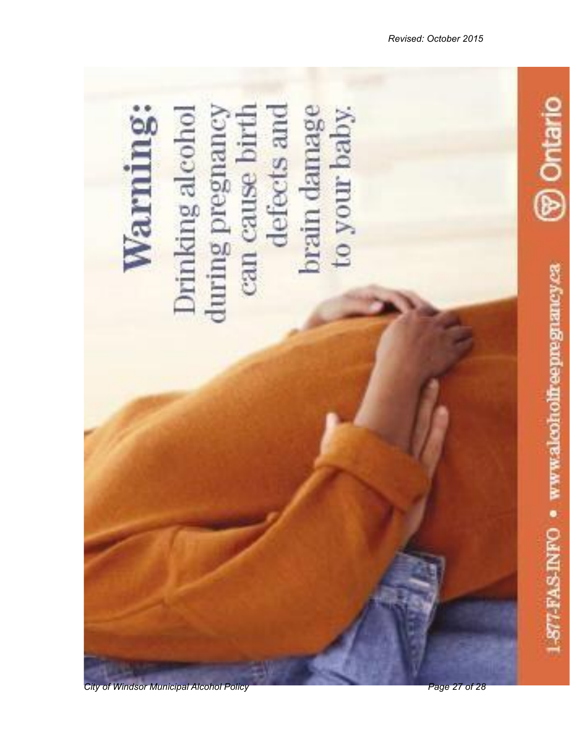

*City of Windsor Municipal Alcohol Policy Page 27 of 28*

-S77-FAS-INFO · www.alcoholfreepregnancy.ca